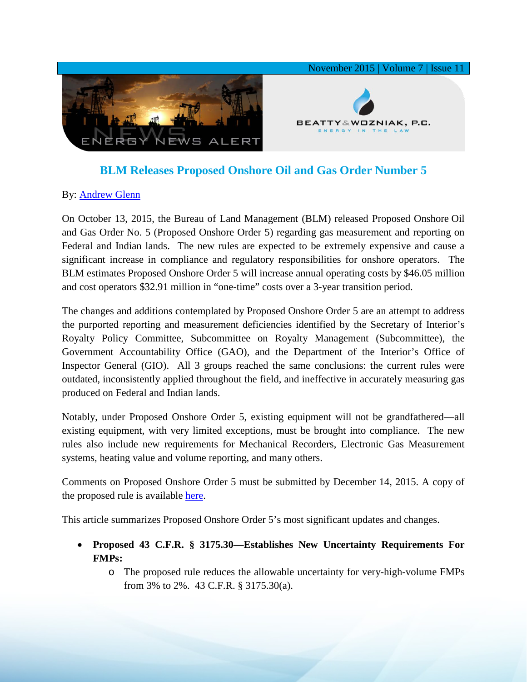

## **BLM Releases Proposed Onshore Oil and Gas Order Number 5**

## By: [Andrew Glenn](http://www.bwenergylaw.com/#!andrew-glenn/c1mcj)

On October 13, 2015, the Bureau of Land Management (BLM) released Proposed Onshore Oil and Gas Order No. 5 (Proposed Onshore Order 5) regarding gas measurement and reporting on Federal and Indian lands. The new rules are expected to be extremely expensive and cause a significant increase in compliance and regulatory responsibilities for onshore operators. The BLM estimates Proposed Onshore Order 5 will increase annual operating costs by \$46.05 million and cost operators \$32.91 million in "one-time" costs over a 3-year transition period.

The changes and additions contemplated by Proposed Onshore Order 5 are an attempt to address the purported reporting and measurement deficiencies identified by the Secretary of Interior's Royalty Policy Committee, Subcommittee on Royalty Management (Subcommittee), the Government Accountability Office (GAO), and the Department of the Interior's Office of Inspector General (GIO). All 3 groups reached the same conclusions: the current rules were outdated, inconsistently applied throughout the field, and ineffective in accurately measuring gas produced on Federal and Indian lands.

Notably, under Proposed Onshore Order 5, existing equipment will not be grandfathered—all existing equipment, with very limited exceptions, must be brought into compliance. The new rules also include new requirements for Mechanical Recorders, Electronic Gas Measurement systems, heating value and volume reporting, and many others.

Comments on Proposed Onshore Order 5 must be submitted by December 14, 2015. A copy of the proposed rule is available [here.](http://www.gpo.gov/fdsys/pkg/FR-2015-10-13/pdf/2015-25556.pdf)

This article summarizes Proposed Onshore Order 5's most significant updates and changes.

- **Proposed 43 C.F.R. § 3175.30—Establishes New Uncertainty Requirements For FMPs:**
	- o The proposed rule reduces the allowable uncertainty for very-high-volume FMPs from 3% to 2%. 43 C.F.R. § 3175.30(a).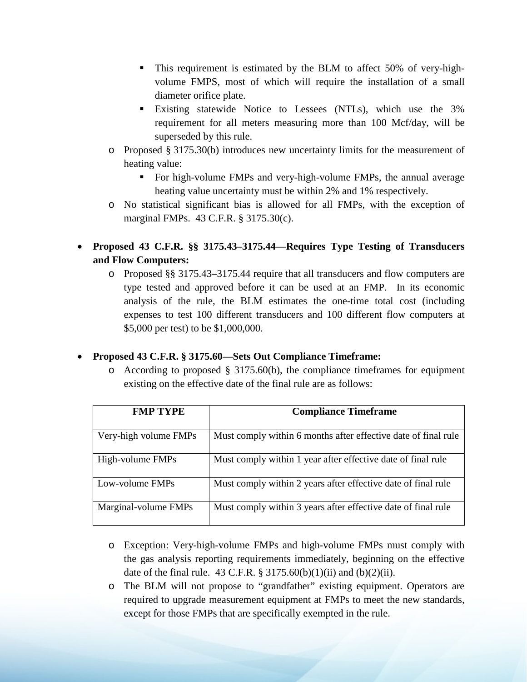- This requirement is estimated by the BLM to affect 50% of very-highvolume FMPS, most of which will require the installation of a small diameter orifice plate.
- **Existing statewide Notice to Lessees (NTLs), which use the 3%** requirement for all meters measuring more than 100 Mcf/day, will be superseded by this rule.
- o Proposed § 3175.30(b) introduces new uncertainty limits for the measurement of heating value:
	- For high-volume FMPs and very-high-volume FMPs, the annual average heating value uncertainty must be within 2% and 1% respectively.
- o No statistical significant bias is allowed for all FMPs, with the exception of marginal FMPs. 43 C.F.R. § 3175.30(c).
- **Proposed 43 C.F.R. §§ 3175.43–3175.44—Requires Type Testing of Transducers and Flow Computers:** 
	- o Proposed §§ 3175.43–3175.44 require that all transducers and flow computers are type tested and approved before it can be used at an FMP. In its economic analysis of the rule, the BLM estimates the one-time total cost (including expenses to test 100 different transducers and 100 different flow computers at \$5,000 per test) to be \$1,000,000.

## • **Proposed 43 C.F.R. § 3175.60—Sets Out Compliance Timeframe:**

 $\circ$  According to proposed § 3175.60(b), the compliance timeframes for equipment existing on the effective date of the final rule are as follows:

| <b>FMP TYPE</b>       | <b>Compliance Timeframe</b>                                    |
|-----------------------|----------------------------------------------------------------|
| Very-high volume FMPs | Must comply within 6 months after effective date of final rule |
| High-volume FMPs      | Must comply within 1 year after effective date of final rule   |
| Low-volume FMPs       | Must comply within 2 years after effective date of final rule  |
| Marginal-volume FMPs  | Must comply within 3 years after effective date of final rule  |

- o Exception: Very-high-volume FMPs and high-volume FMPs must comply with the gas analysis reporting requirements immediately, beginning on the effective date of the final rule. 43 C.F.R.  $\S 3175.60(b)(1)(ii)$  and  $(b)(2)(ii)$ .
- o The BLM will not propose to "grandfather" existing equipment. Operators are required to upgrade measurement equipment at FMPs to meet the new standards, except for those FMPs that are specifically exempted in the rule.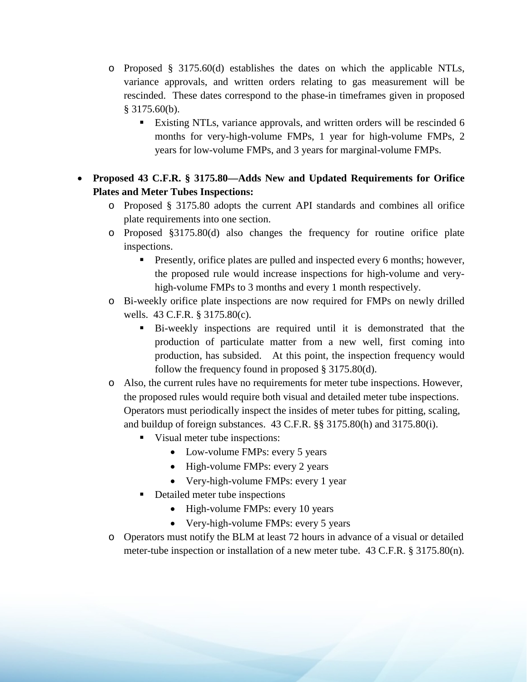- o Proposed § 3175.60(d) establishes the dates on which the applicable NTLs, variance approvals, and written orders relating to gas measurement will be rescinded. These dates correspond to the phase-in timeframes given in proposed § 3175.60(b).
	- Existing NTLs, variance approvals, and written orders will be rescinded 6 months for very-high-volume FMPs, 1 year for high-volume FMPs, 2 years for low-volume FMPs, and 3 years for marginal-volume FMPs.
- **Proposed 43 C.F.R. § 3175.80—Adds New and Updated Requirements for Orifice Plates and Meter Tubes Inspections:** 
	- o Proposed § 3175.80 adopts the current API standards and combines all orifice plate requirements into one section.
	- o Proposed §3175.80(d) also changes the frequency for routine orifice plate inspections.
		- **Presently, orifice plates are pulled and inspected every 6 months; however,** the proposed rule would increase inspections for high-volume and veryhigh-volume FMPs to 3 months and every 1 month respectively.
	- o Bi-weekly orifice plate inspections are now required for FMPs on newly drilled wells. 43 C.F.R. § 3175.80(c).
		- Bi-weekly inspections are required until it is demonstrated that the production of particulate matter from a new well, first coming into production, has subsided. At this point, the inspection frequency would follow the frequency found in proposed § 3175.80(d).
	- o Also, the current rules have no requirements for meter tube inspections. However, the proposed rules would require both visual and detailed meter tube inspections. Operators must periodically inspect the insides of meter tubes for pitting, scaling, and buildup of foreign substances. 43 C.F.R. §§ 3175.80(h) and 3175.80(i).
		- Visual meter tube inspections:
			- Low-volume FMPs: every 5 years
			- High-volume FMPs: every 2 years
			- Very-high-volume FMPs: every 1 year
		- Detailed meter tube inspections
			- High-volume FMPs: every 10 years
			- Very-high-volume FMPs: every 5 years
	- o Operators must notify the BLM at least 72 hours in advance of a visual or detailed meter-tube inspection or installation of a new meter tube. 43 C.F.R. § 3175.80(n).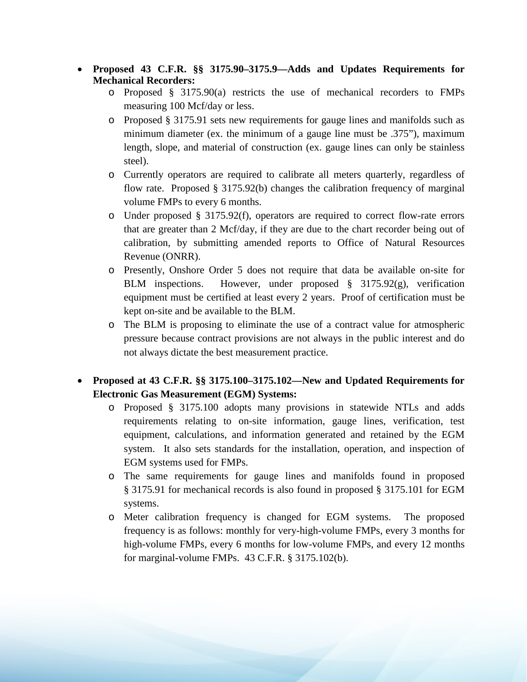- **Proposed 43 C.F.R. §§ 3175.90–3175.9—Adds and Updates Requirements for Mechanical Recorders:** 
	- o Proposed § 3175.90(a) restricts the use of mechanical recorders to FMPs measuring 100 Mcf/day or less.
	- o Proposed § 3175.91 sets new requirements for gauge lines and manifolds such as minimum diameter (ex. the minimum of a gauge line must be .375"), maximum length, slope, and material of construction (ex. gauge lines can only be stainless steel).
	- o Currently operators are required to calibrate all meters quarterly, regardless of flow rate. Proposed § 3175.92(b) changes the calibration frequency of marginal volume FMPs to every 6 months.
	- o Under proposed § 3175.92(f), operators are required to correct flow-rate errors that are greater than 2 Mcf/day, if they are due to the chart recorder being out of calibration, by submitting amended reports to Office of Natural Resources Revenue (ONRR).
	- o Presently, Onshore Order 5 does not require that data be available on-site for BLM inspections. However, under proposed § 3175.92(g), verification equipment must be certified at least every 2 years. Proof of certification must be kept on-site and be available to the BLM.
	- o The BLM is proposing to eliminate the use of a contract value for atmospheric pressure because contract provisions are not always in the public interest and do not always dictate the best measurement practice.
- **Proposed at 43 C.F.R. §§ 3175.100–3175.102—New and Updated Requirements for Electronic Gas Measurement (EGM) Systems:** 
	- o Proposed § 3175.100 adopts many provisions in statewide NTLs and adds requirements relating to on-site information, gauge lines, verification, test equipment, calculations, and information generated and retained by the EGM system. It also sets standards for the installation, operation, and inspection of EGM systems used for FMPs.
	- o The same requirements for gauge lines and manifolds found in proposed § 3175.91 for mechanical records is also found in proposed § 3175.101 for EGM systems.
	- o Meter calibration frequency is changed for EGM systems. The proposed frequency is as follows: monthly for very-high-volume FMPs, every 3 months for high-volume FMPs, every 6 months for low-volume FMPs, and every 12 months for marginal-volume FMPs. 43 C.F.R. § 3175.102(b).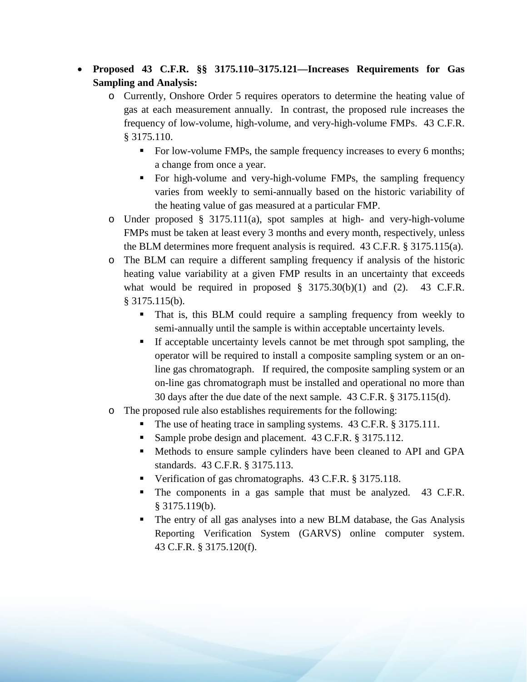- **Proposed 43 C.F.R. §§ 3175.110–3175.121—Increases Requirements for Gas Sampling and Analysis:** 
	- o Currently, Onshore Order 5 requires operators to determine the heating value of gas at each measurement annually. In contrast, the proposed rule increases the frequency of low-volume, high-volume, and very-high-volume FMPs. 43 C.F.R. § 3175.110.
		- For low-volume FMPs, the sample frequency increases to every 6 months; a change from once a year.
		- For high-volume and very-high-volume FMPs, the sampling frequency varies from weekly to semi-annually based on the historic variability of the heating value of gas measured at a particular FMP.
	- o Under proposed § 3175.111(a), spot samples at high- and very-high-volume FMPs must be taken at least every 3 months and every month, respectively, unless the BLM determines more frequent analysis is required. 43 C.F.R. § 3175.115(a).
	- o The BLM can require a different sampling frequency if analysis of the historic heating value variability at a given FMP results in an uncertainty that exceeds what would be required in proposed  $\S$  3175.30(b)(1) and (2). 43 C.F.R. § 3175.115(b).
		- That is, this BLM could require a sampling frequency from weekly to semi-annually until the sample is within acceptable uncertainty levels.
		- If acceptable uncertainty levels cannot be met through spot sampling, the operator will be required to install a composite sampling system or an online gas chromatograph. If required, the composite sampling system or an on-line gas chromatograph must be installed and operational no more than 30 days after the due date of the next sample.43 C.F.R. § 3175.115(d).
	- o The proposed rule also establishes requirements for the following:
		- The use of heating trace in sampling systems. 43 C.F.R. § 3175.111.
		- Sample probe design and placement. 43 C.F.R. § 3175.112.
		- Methods to ensure sample cylinders have been cleaned to API and GPA standards. 43 C.F.R. § 3175.113.
		- Verification of gas chromatographs. 43 C.F.R. § 3175.118.
		- The components in a gas sample that must be analyzed. 43 C.F.R. § 3175.119(b).
		- The entry of all gas analyses into a new BLM database, the Gas Analysis Reporting Verification System (GARVS) online computer system. 43 C.F.R. § 3175.120(f).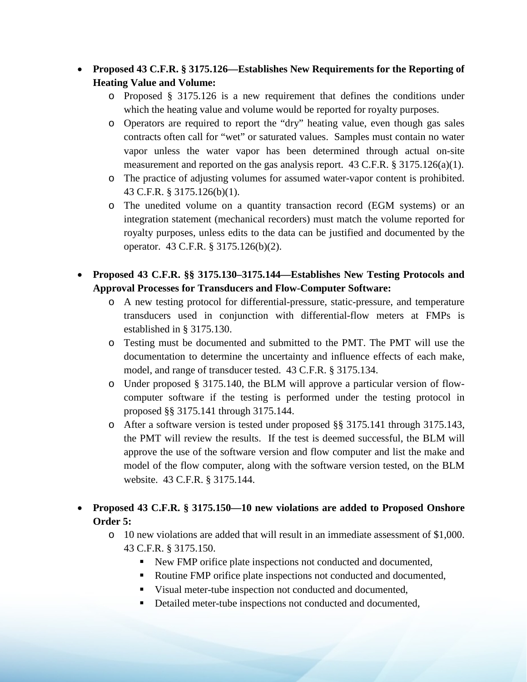- **Proposed 43 C.F.R. § 3175.126—Establishes New Requirements for the Reporting of Heating Value and Volume:** 
	- o Proposed § 3175.126 is a new requirement that defines the conditions under which the heating value and volume would be reported for royalty purposes.
	- o Operators are required to report the "dry" heating value, even though gas sales contracts often call for "wet" or saturated values. Samples must contain no water vapor unless the water vapor has been determined through actual on-site measurement and reported on the gas analysis report. 43 C.F.R.  $\S 3175.126(a)(1)$ .
	- o The practice of adjusting volumes for assumed water-vapor content is prohibited. 43 C.F.R. § 3175.126(b)(1).
	- o The unedited volume on a quantity transaction record (EGM systems) or an integration statement (mechanical recorders) must match the volume reported for royalty purposes, unless edits to the data can be justified and documented by the operator. 43 C.F.R. § 3175.126(b)(2).
- **Proposed 43 C.F.R. §§ 3175.130–3175.144—Establishes New Testing Protocols and Approval Processes for Transducers and Flow-Computer Software:** 
	- o A new testing protocol for differential-pressure, static-pressure, and temperature transducers used in conjunction with differential-flow meters at FMPs is established in § 3175.130.
	- o Testing must be documented and submitted to the PMT. The PMT will use the documentation to determine the uncertainty and influence effects of each make, model, and range of transducer tested. 43 C.F.R. § 3175.134.
	- o Under proposed § 3175.140, the BLM will approve a particular version of flowcomputer software if the testing is performed under the testing protocol in proposed §§ 3175.141 through 3175.144.
	- o After a software version is tested under proposed §§ 3175.141 through 3175.143, the PMT will review the results. If the test is deemed successful, the BLM will approve the use of the software version and flow computer and list the make and model of the flow computer, along with the software version tested, on the BLM website. 43 C.F.R. § 3175.144.
- **Proposed 43 C.F.R. § 3175.150—10 new violations are added to Proposed Onshore Order 5:**
	- o 10 new violations are added that will result in an immediate assessment of \$1,000. 43 C.F.R. § 3175.150.
		- New FMP orifice plate inspections not conducted and documented,
		- Routine FMP orifice plate inspections not conducted and documented,
		- Visual meter-tube inspection not conducted and documented,
		- Detailed meter-tube inspections not conducted and documented,